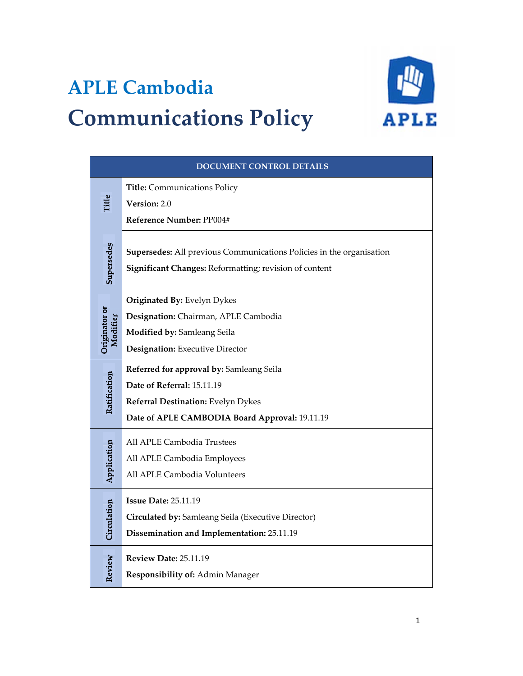# **APLE Cambodia Communications Policy**



| DOCUMENT CONTROL DETAILS  |                                                                                                                                |
|---------------------------|--------------------------------------------------------------------------------------------------------------------------------|
| Title                     | Title: Communications Policy<br>Version: 2.0                                                                                   |
|                           | Reference Number: PP004#                                                                                                       |
| Supersedes                | Supersedes: All previous Communications Policies in the organisation<br>Significant Changes: Reformatting; revision of content |
| Originator or<br>Modifier | Originated By: Evelyn Dykes                                                                                                    |
|                           | Designation: Chairman, APLE Cambodia                                                                                           |
|                           | Modified by: Samleang Seila<br>Designation: Executive Director                                                                 |
| Ratification              | Referred for approval by: Samleang Seila                                                                                       |
|                           | Date of Referral: 15.11.19                                                                                                     |
|                           | Referral Destination: Evelyn Dykes                                                                                             |
|                           | Date of APLE CAMBODIA Board Approval: 19.11.19                                                                                 |
| Application               | All APLE Cambodia Trustees                                                                                                     |
|                           | All APLE Cambodia Employees                                                                                                    |
|                           | All APLE Cambodia Volunteers                                                                                                   |
| Circulation               | <b>Issue Date: 25.11.19</b>                                                                                                    |
|                           | Circulated by: Samleang Seila (Executive Director)                                                                             |
|                           | Dissemination and Implementation: 25.11.19                                                                                     |
|                           | <b>Review Date: 25.11.19</b>                                                                                                   |
| Review                    | Responsibility of: Admin Manager                                                                                               |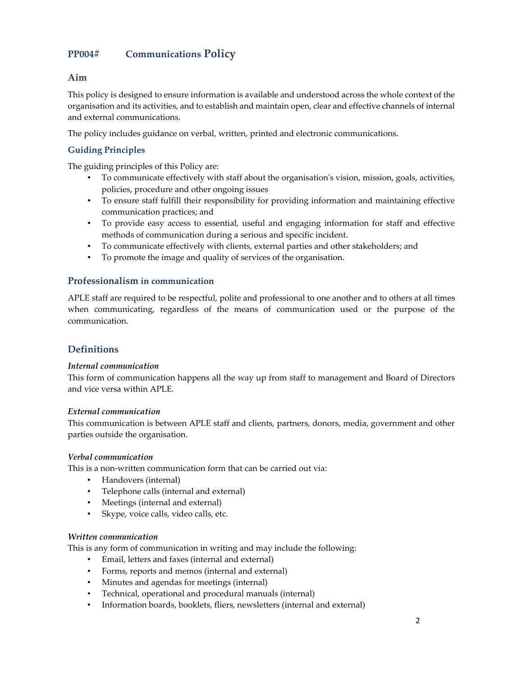# **PP004# Communications Policy**

## **Aim**

This policy is designed to ensure information is available and understood across the whole context of the organisation and its activities, and to establish and maintain open, clear and effective channels of internal and external communications.

The policy includes guidance on verbal, written, printed and electronic communications.

### **Guiding Principles**

The guiding principles of this Policy are:

- To communicate effectively with staff about the organisation's vision, mission, goals, activities, policies, procedure and other ongoing issues
- To ensure staff fulfill their responsibility for providing information and maintaining effective communication practices; and
- To provide easy access to essential, useful and engaging information for staff and effective methods of communication during a serious and specific incident.
- To communicate effectively with clients, external parties and other stakeholders; and
- To promote the image and quality of services of the organisation.

#### **Professionalism in communication**

APLE staff are required to be respectful, polite and professional to one another and to others at all times when communicating, regardless of the means of communication used or the purpose of the communication.

## **Definitions**

#### *Internal communication*

This form of communication happens all the way up from staff to management and Board of Directors and vice versa within APLE.

#### *External communication*

This communication is between APLE staff and clients, partners, donors, media, government and other parties outside the organisation.

#### *Verbal communication*

This is a non-written communication form that can be carried out via:

- Handovers (internal)
- Telephone calls (internal and external)
- Meetings (internal and external)
- Skype, voice calls, video calls, etc.

#### *Written communication*

This is any form of communication in writing and may include the following:

- Email, letters and faxes (internal and external)
- Forms, reports and memos (internal and external)
- Minutes and agendas for meetings (internal)
- Technical, operational and procedural manuals (internal)
- Information boards, booklets, fliers, newsletters (internal and external)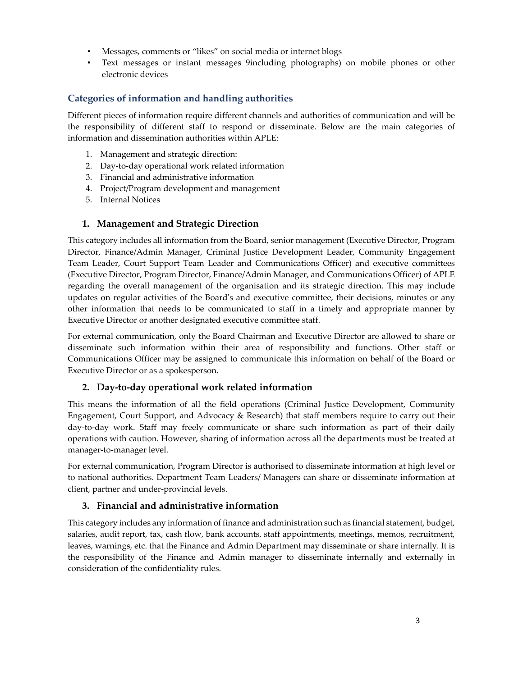- Messages, comments or "likes" on social media or internet blogs
- Text messages or instant messages 9including photographs) on mobile phones or other electronic devices

## **Categories of information and handling authorities**

Different pieces of information require different channels and authorities of communication and will be the responsibility of different staff to respond or disseminate. Below are the main categories of information and dissemination authorities within APLE:

- 1. Management and strategic direction:
- 2. Day-to-day operational work related information
- 3. Financial and administrative information
- 4. Project/Program development and management
- 5. Internal Notices

#### **1. Management and Strategic Direction**

This category includes all information from the Board, senior management (Executive Director, Program Director, Finance/Admin Manager, Criminal Justice Development Leader, Community Engagement Team Leader, Court Support Team Leader and Communications Officer) and executive committees (Executive Director, Program Director, Finance/Admin Manager, and Communications Officer) of APLE regarding the overall management of the organisation and its strategic direction. This may include updates on regular activities of the Board's and executive committee, their decisions, minutes or any other information that needs to be communicated to staff in a timely and appropriate manner by Executive Director or another designated executive committee staff.

For external communication, only the Board Chairman and Executive Director are allowed to share or disseminate such information within their area of responsibility and functions. Other staff or Communications Officer may be assigned to communicate this information on behalf of the Board or Executive Director or as a spokesperson.

## **2. Day-to-day operational work related information**

This means the information of all the field operations (Criminal Justice Development, Community Engagement, Court Support, and Advocacy & Research) that staff members require to carry out their day-to-day work. Staff may freely communicate or share such information as part of their daily operations with caution. However, sharing of information across all the departments must be treated at manager-to-manager level.

For external communication, Program Director is authorised to disseminate information at high level or to national authorities. Department Team Leaders/ Managers can share or disseminate information at client, partner and under-provincial levels.

## **3. Financial and administrative information**

This category includes any information of finance and administration such as financial statement, budget, salaries, audit report, tax, cash flow, bank accounts, staff appointments, meetings, memos, recruitment, leaves, warnings, etc. that the Finance and Admin Department may disseminate or share internally. It is the responsibility of the Finance and Admin manager to disseminate internally and externally in consideration of the confidentiality rules.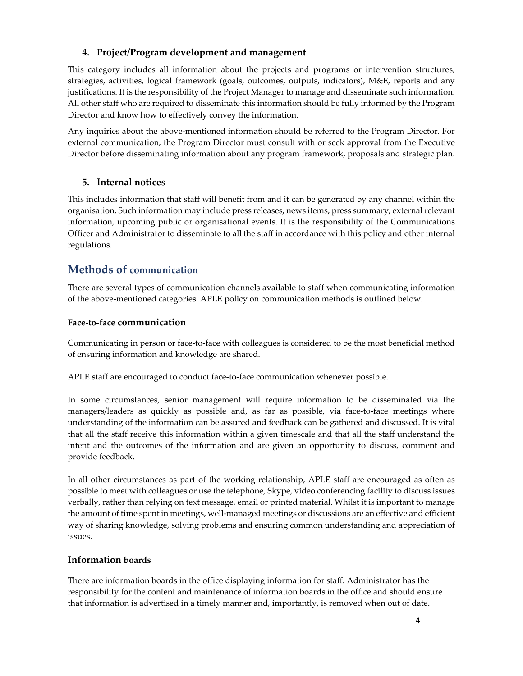## **4. Project/Program development and management**

This category includes all information about the projects and programs or intervention structures, strategies, activities, logical framework (goals, outcomes, outputs, indicators), M&E, reports and any justifications. It is the responsibility of the Project Manager to manage and disseminate such information. All other staff who are required to disseminate this information should be fully informed by the Program Director and know how to effectively convey the information.

Any inquiries about the above-mentioned information should be referred to the Program Director. For external communication, the Program Director must consult with or seek approval from the Executive Director before disseminating information about any program framework, proposals and strategic plan.

## **5. Internal notices**

This includes information that staff will benefit from and it can be generated by any channel within the organisation. Such information may include press releases, news items, press summary, external relevant information, upcoming public or organisational events. It is the responsibility of the Communications Officer and Administrator to disseminate to all the staff in accordance with this policy and other internal regulations.

## **Methods of communication**

There are several types of communication channels available to staff when communicating information of the above-mentioned categories. APLE policy on communication methods is outlined below.

#### **Face-to-face communication**

Communicating in person or face-to-face with colleagues is considered to be the most beneficial method of ensuring information and knowledge are shared.

APLE staff are encouraged to conduct face-to-face communication whenever possible.

In some circumstances, senior management will require information to be disseminated via the managers/leaders as quickly as possible and, as far as possible, via face-to-face meetings where understanding of the information can be assured and feedback can be gathered and discussed. It is vital that all the staff receive this information within a given timescale and that all the staff understand the intent and the outcomes of the information and are given an opportunity to discuss, comment and provide feedback.

In all other circumstances as part of the working relationship, APLE staff are encouraged as often as possible to meet with colleagues or use the telephone, Skype, video conferencing facility to discuss issues verbally, rather than relying on text message, email or printed material. Whilst it is important to manage the amount of time spent in meetings, well-managed meetings or discussions are an effective and efficient way of sharing knowledge, solving problems and ensuring common understanding and appreciation of issues.

## **Information boards**

There are information boards in the office displaying information for staff. Administrator has the responsibility for the content and maintenance of information boards in the office and should ensure that information is advertised in a timely manner and, importantly, is removed when out of date.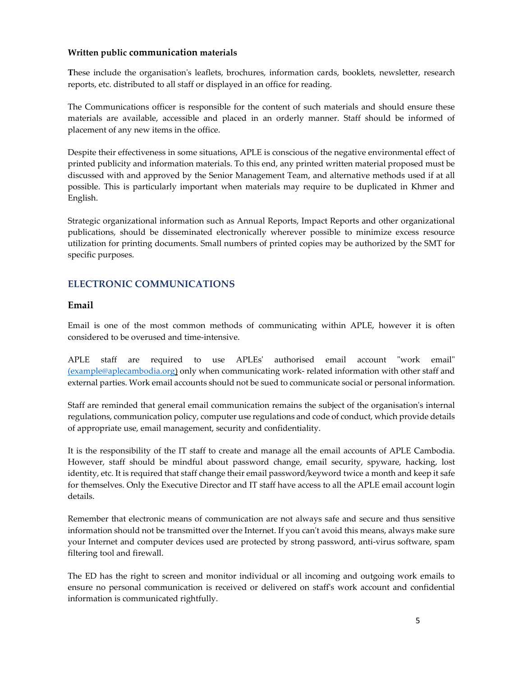#### **Written public communication materials**

**T**hese include the organisation's leaflets, brochures, information cards, booklets, newsletter, research reports, etc. distributed to all staff or displayed in an office for reading.

The Communications officer is responsible for the content of such materials and should ensure these materials are available, accessible and placed in an orderly manner. Staff should be informed of placement of any new items in the office.

Despite their effectiveness in some situations, APLE is conscious of the negative environmental effect of printed publicity and information materials. To this end, any printed written material proposed must be discussed with and approved by the Senior Management Team, and alternative methods used if at all possible. This is particularly important when materials may require to be duplicated in Khmer and English.

Strategic organizational information such as Annual Reports, Impact Reports and other organizational publications, should be disseminated electronically wherever possible to minimize excess resource utilization for printing documents. Small numbers of printed copies may be authorized by the SMT for specific purposes.

## **ELECTRONIC COMMUNICATIONS**

#### **Email**

Email is one of the most common methods of communicating within APLE, however it is often considered to be overused and time-intensive.

APLE staff are required to use APLEs' authorised email account "work email" (example@aplecambodia.org) only when communicating work- related information with other staff and external parties. Work email accounts should not be sued to communicate social or personal information.

Staff are reminded that general email communication remains the subject of the organisation's internal regulations, communication policy, computer use regulations and code of conduct, which provide details of appropriate use, email management, security and confidentiality.

It is the responsibility of the IT staff to create and manage all the email accounts of APLE Cambodia. However, staff should be mindful about password change, email security, spyware, hacking, lost identity, etc. It is required that staff change their email password/keyword twice a month and keep it safe for themselves. Only the Executive Director and IT staff have access to all the APLE email account login details.

Remember that electronic means of communication are not always safe and secure and thus sensitive information should not be transmitted over the Internet. If you can't avoid this means, always make sure your Internet and computer devices used are protected by strong password, anti-virus software, spam filtering tool and firewall.

The ED has the right to screen and monitor individual or all incoming and outgoing work emails to ensure no personal communication is received or delivered on staff's work account and confidential information is communicated rightfully.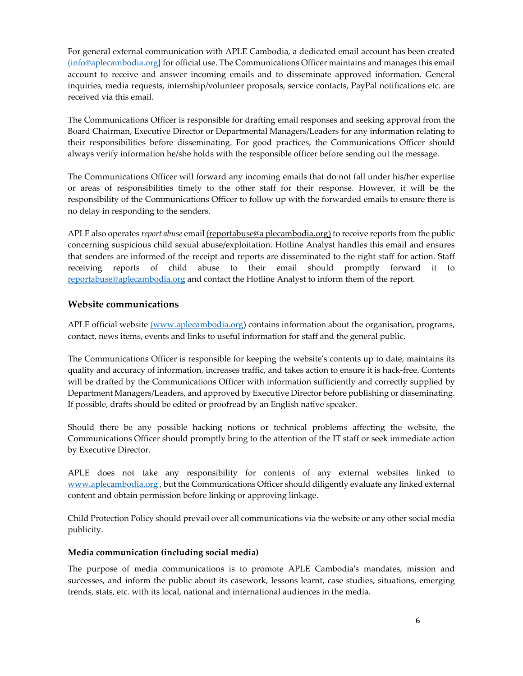For general external communication with APLE Cambodia, a dedicated email account has been created (info@aplecambodia.org} for official use. The Communications Officer maintains and manages this email account to receive and answer incoming emails and to disseminate approved information. General inquiries, media requests, internship/volunteer proposals, service contacts, PayPal notifications etc. are received via this email.

The Communications Officer is responsible for drafting email responses and seeking approval from the Board Chairman, Executive Director or Departmental Managers/Leaders for any information relating to their responsibilities before disseminating. For good practices, the Communications Officer should always verify information he/she holds with the responsible officer before sending out the message.

The Communications Officer will forward any incoming emails that do not fall under his/her expertise or areas of responsibilities timely to the other staff for their response. However, it will be the responsibility of the Communications Officer to follow up with the forwarded emails to ensure there is no delay in responding to the senders.

APLE also operates *report abuse* email (reportabuse@a plecambodia.org) to receive reports from the public concerning suspicious child sexual abuse/exploitation. Hotline Analyst handles this email and ensures that senders are informed of the receipt and reports are disseminated to the right staff for action. Staff receiving reports of child abuse to their email should promptly forward it to reportabuse@aplecambodia.org and contact the Hotline Analyst to inform them of the report.

#### **Website communications**

APLE official website (www.aplecambodia.org) contains information about the organisation, programs, contact, news items, events and links to useful information for staff and the general public.

The Communications Officer is responsible for keeping the website's contents up to date, maintains its quality and accuracy of information, increases traffic, and takes action to ensure it is hack-free. Contents will be drafted by the Communications Officer with information sufficiently and correctly supplied by Department Managers/Leaders, and approved by Executive Director before publishing or disseminating. If possible, drafts should be edited or proofread by an English native speaker.

Should there be any possible hacking notions or technical problems affecting the website, the Communications Officer should promptly bring to the attention of the IT staff or seek immediate action by Executive Director.

APLE does not take any responsibility for contents of any external websites linked to www.aplecambodia.org, but the Communications Officer should diligently evaluate any linked external content and obtain permission before linking or approving linkage.

Child Protection Policy should prevail over all communications via the website or any other social media publicity.

#### **Media communication (including social media)**

The purpose of media communications is to promote APLE Cambodia's mandates, mission and successes, and inform the public about its casework, lessons learnt, case studies, situations, emerging trends, stats, etc. with its local, national and international audiences in the media.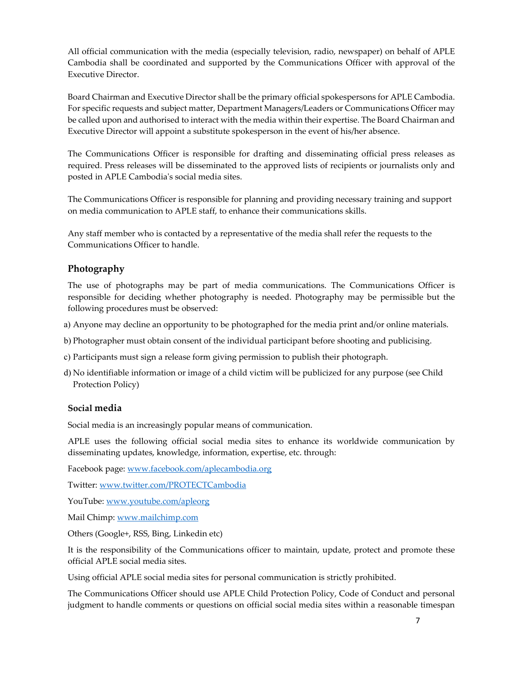All official communication with the media (especially television, radio, newspaper) on behalf of APLE Cambodia shall be coordinated and supported by the Communications Officer with approval of the Executive Director.

Board Chairman and Executive Director shall be the primary official spokespersons for APLE Cambodia. For specific requests and subject matter, Department Managers/Leaders or Communications Officer may be called upon and authorised to interact with the media within their expertise. The Board Chairman and Executive Director will appoint a substitute spokesperson in the event of his/her absence.

The Communications Officer is responsible for drafting and disseminating official press releases as required. Press releases will be disseminated to the approved lists of recipients or journalists only and posted in APLE Cambodia's social media sites.

The Communications Officer is responsible for planning and providing necessary training and support on media communication to APLE staff, to enhance their communications skills.

Any staff member who is contacted by a representative of the media shall refer the requests to the Communications Officer to handle.

#### **Photography**

The use of photographs may be part of media communications. The Communications Officer is responsible for deciding whether photography is needed. Photography may be permissible but the following procedures must be observed:

- a) Anyone may decline an opportunity to be photographed for the media print and/or online materials.
- b) Photographer must obtain consent of the individual participant before shooting and publicising.
- c) Participants must sign a release form giving permission to publish their photograph.
- d) No identifiable information or image of a child victim will be publicized for any purpose (see Child Protection Policy)

#### **Social media**

Social media is an increasingly popular means of communication.

APLE uses the following official social media sites to enhance its worldwide communication by disseminating updates, knowledge, information, expertise, etc. through:

Facebook page: www.facebook.com/aplecambodia.org

Twitter: www.twitter.com/PROTECTCambodia

YouTube: www.youtube.com/apleorg

Mail Chimp: www.mailchimp.com

Others (Google+, RSS, Bing, Linkedin etc)

It is the responsibility of the Communications officer to maintain, update, protect and promote these official APLE social media sites.

Using official APLE social media sites for personal communication is strictly prohibited.

The Communications Officer should use APLE Child Protection Policy, Code of Conduct and personal judgment to handle comments or questions on official social media sites within a reasonable timespan